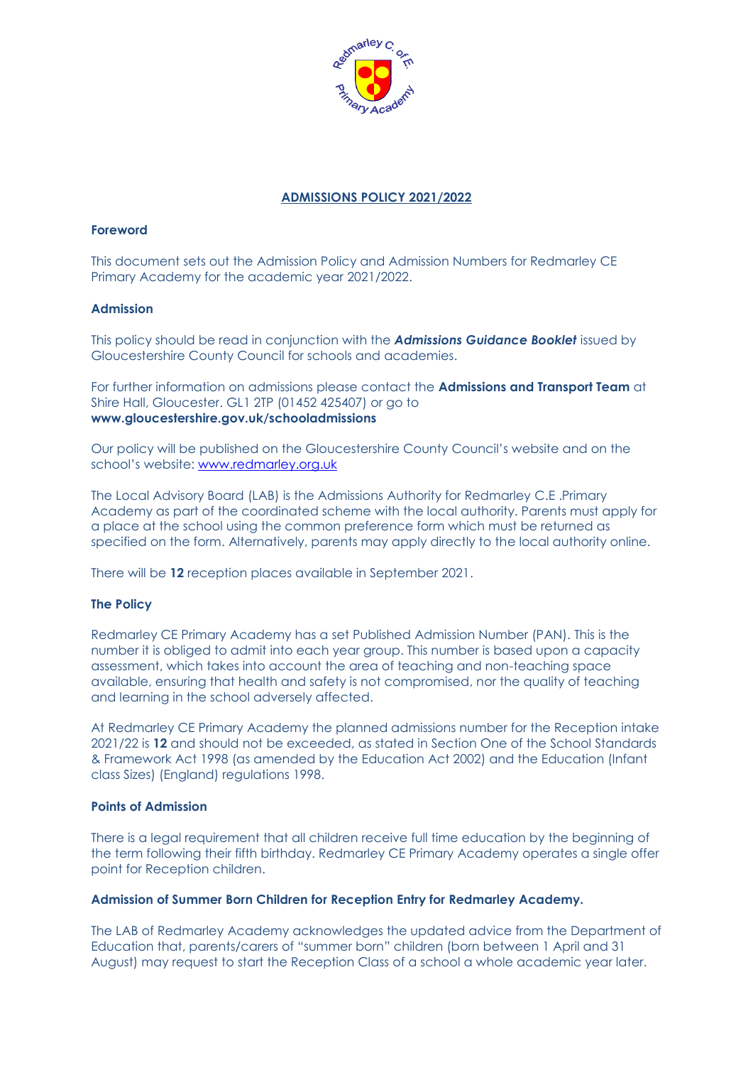

# **ADMISSIONS POLICY 2021/2022**

## **Foreword**

This document sets out the Admission Policy and Admission Numbers for Redmarley CE Primary Academy for the academic year 2021/2022.

## **Admission**

This policy should be read in conjunction with the *Admissions Guidance Booklet* issued by Gloucestershire County Council for schools and academies.

For further information on admissions please contact the **Admissions and Transport Team** at Shire Hall, Gloucester. GL1 2TP (01452 425407) or go to **www.gloucestershire.gov.uk/schooladmissions**

Our policy will be published on the Gloucestershire County Council's website and on the school's website: [www.redmarley.org.uk](http://www.redmarley.org.uk/)

The Local Advisory Board (LAB) is the Admissions Authority for Redmarley C.E .Primary Academy as part of the coordinated scheme with the local authority. Parents must apply for a place at the school using the common preference form which must be returned as specified on the form. Alternatively, parents may apply directly to the local authority online.

There will be **12** reception places available in September 2021.

## **The Policy**

Redmarley CE Primary Academy has a set Published Admission Number (PAN). This is the number it is obliged to admit into each year group. This number is based upon a capacity assessment, which takes into account the area of teaching and non-teaching space available, ensuring that health and safety is not compromised, nor the quality of teaching and learning in the school adversely affected.

At Redmarley CE Primary Academy the planned admissions number for the Reception intake 2021/22 is **12** and should not be exceeded, as stated in Section One of the School Standards & Framework Act 1998 (as amended by the Education Act 2002) and the Education (Infant class Sizes) (England) regulations 1998.

#### **Points of Admission**

There is a legal requirement that all children receive full time education by the beginning of the term following their fifth birthday. Redmarley CE Primary Academy operates a single offer point for Reception children.

## **Admission of Summer Born Children for Reception Entry for Redmarley Academy.**

The LAB of Redmarley Academy acknowledges the updated advice from the Department of Education that, parents/carers of "summer born" children (born between 1 April and 31 August) may request to start the Reception Class of a school a whole academic year later.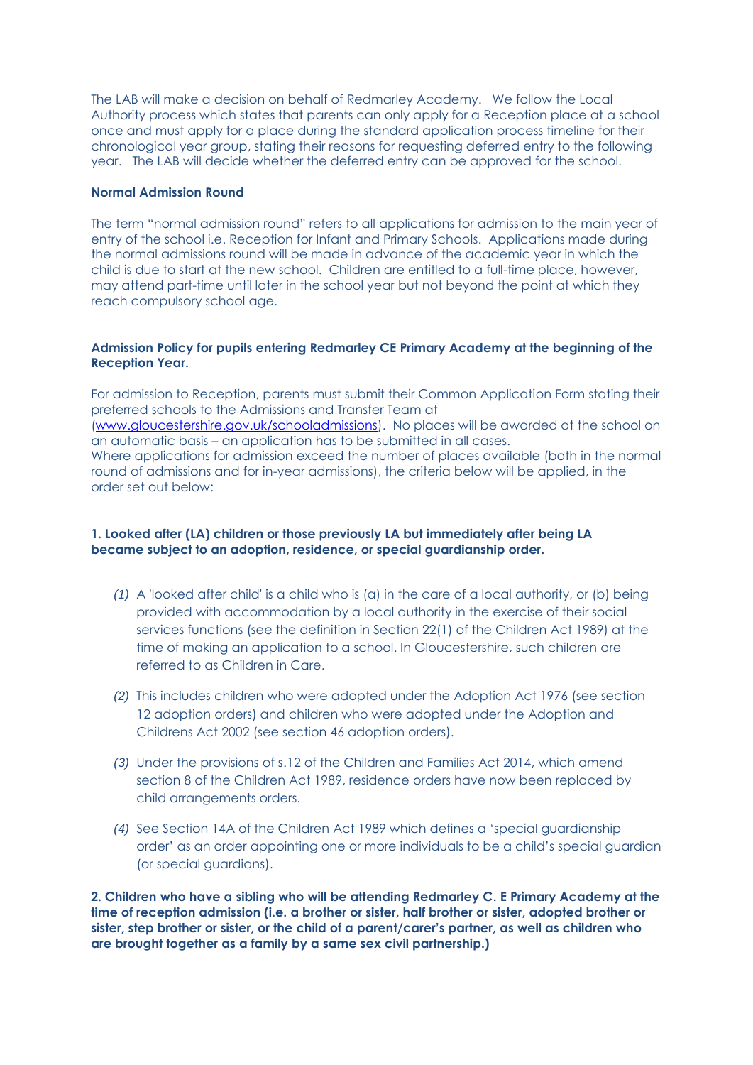The LAB will make a decision on behalf of Redmarley Academy. We follow the Local Authority process which states that parents can only apply for a Reception place at a school once and must apply for a place during the standard application process timeline for their chronological year group, stating their reasons for requesting deferred entry to the following year. The LAB will decide whether the deferred entry can be approved for the school.

### **Normal Admission Round**

The term "normal admission round" refers to all applications for admission to the main year of entry of the school i.e. Reception for Infant and Primary Schools. Applications made during the normal admissions round will be made in advance of the academic year in which the child is due to start at the new school. Children are entitled to a full-time place, however, may attend part-time until later in the school year but not beyond the point at which they reach compulsory school age.

## **Admission Policy for pupils entering Redmarley CE Primary Academy at the beginning of the Reception Year.**

For admission to Reception, parents must submit their Common Application Form stating their preferred schools to the Admissions and Transfer Team at [\(www.gloucestershire.gov.uk/schooladmissions\)](http://www.gloucestershire.gov.uk/schooladmissions). No places will be awarded at the school on an automatic basis – an application has to be submitted in all cases. Where applications for admission exceed the number of places available (both in the normal round of admissions and for in-year admissions), the criteria below will be applied, in the order set out below:

## **1. Looked after (LA) children or those previously LA but immediately after being LA became subject to an adoption, residence, or special guardianship order.**

- *(1)* A 'looked after child' is a child who is (a) in the care of a local authority, or (b) being provided with accommodation by a local authority in the exercise of their social services functions (see the definition in Section 22(1) of the Children Act 1989) at the time of making an application to a school. In Gloucestershire, such children are referred to as Children in Care.
- *(2)* This includes children who were adopted under the Adoption Act 1976 (see section 12 adoption orders) and children who were adopted under the Adoption and Childrens Act 2002 (see section 46 adoption orders).
- *(3)* Under the provisions of s.12 of the Children and Families Act 2014, which amend section 8 of the Children Act 1989, residence orders have now been replaced by child arrangements orders.
- *(4)* See Section 14A of the Children Act 1989 which defines a 'special guardianship order' as an order appointing one or more individuals to be a child's special guardian (or special guardians).

**2. Children who have a sibling who will be attending Redmarley C. E Primary Academy at the time of reception admission (i.e. a brother or sister, half brother or sister, adopted brother or sister, step brother or sister, or the child of a parent/carer's partner, as well as children who are brought together as a family by a same sex civil partnership.)**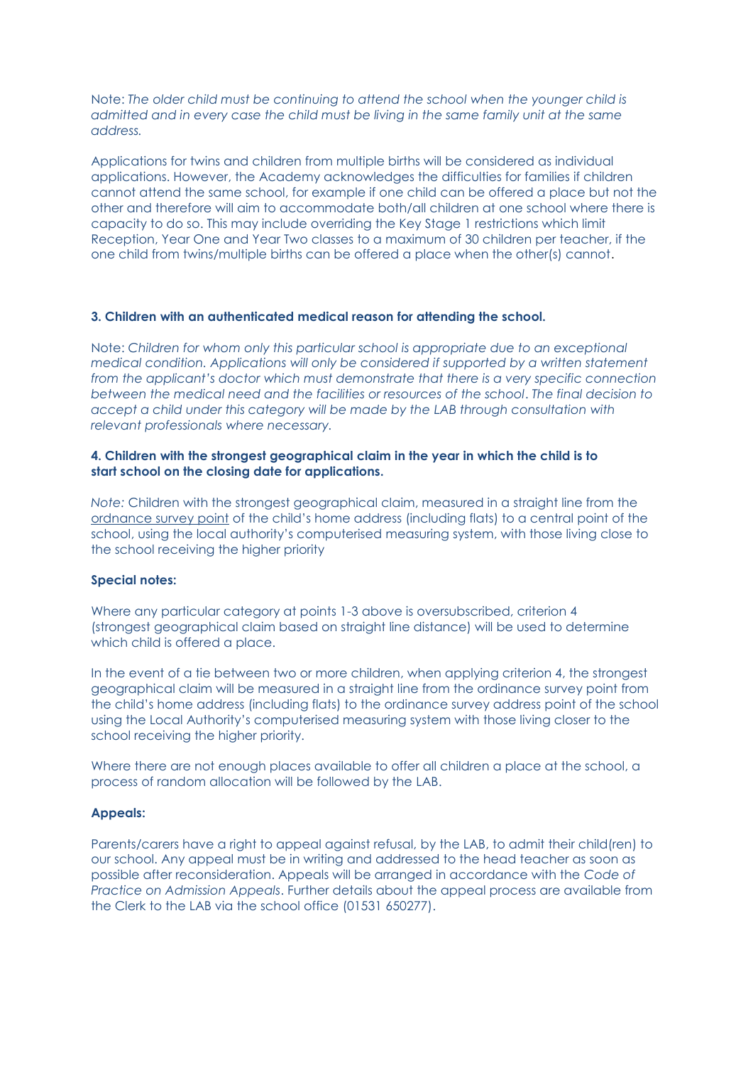Note: *The older child must be continuing to attend the school when the younger child is admitted and in every case the child must be living in the same family unit at the same address.*

Applications for twins and children from multiple births will be considered as individual applications. However, the Academy acknowledges the difficulties for families if children cannot attend the same school, for example if one child can be offered a place but not the other and therefore will aim to accommodate both/all children at one school where there is capacity to do so. This may include overriding the Key Stage 1 restrictions which limit Reception, Year One and Year Two classes to a maximum of 30 children per teacher, if the one child from twins/multiple births can be offered a place when the other(s) cannot.

#### **3. Children with an authenticated medical reason for attending the school.**

Note: *Children for whom only this particular school is appropriate due to an exceptional medical condition. Applications will only be considered if supported by a written statement from the applicant's doctor which must demonstrate that there is a very specific connection between the medical need and the facilities or resources of the school*. *The final decision to accept a child under this category will be made by the LAB through consultation with relevant professionals where necessary.*

### **4. Children with the strongest geographical claim in the year in which the child is to start school on the closing date for applications.**

*Note:* Children with the strongest geographical claim, measured in a straight line from the ordnance survey point of the child's home address (including flats) to a central point of the school, using the local authority's computerised measuring system, with those living close to the school receiving the higher priority

### **Special notes:**

Where any particular category at points 1-3 above is oversubscribed, criterion 4 (strongest geographical claim based on straight line distance) will be used to determine which child is offered a place.

In the event of a tie between two or more children, when applying criterion 4, the strongest geographical claim will be measured in a straight line from the ordinance survey point from the child's home address (including flats) to the ordinance survey address point of the school using the Local Authority's computerised measuring system with those living closer to the school receiving the higher priority.

Where there are not enough places available to offer all children a place at the school, a process of random allocation will be followed by the LAB.

#### **Appeals:**

Parents/carers have a right to appeal against refusal, by the LAB, to admit their child(ren) to our school. Any appeal must be in writing and addressed to the head teacher as soon as possible after reconsideration. Appeals will be arranged in accordance with the *Code of Practice on Admission Appeals*. Further details about the appeal process are available from the Clerk to the LAB via the school office (01531 650277).